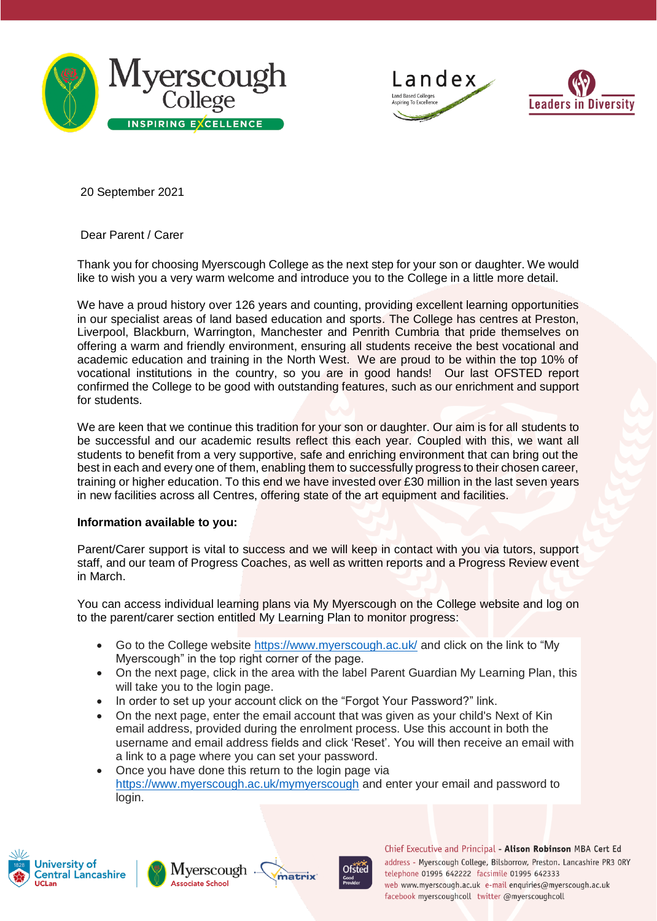





20 September 2021

### Dear Parent / Carer

Thank you for choosing Myerscough College as the next step for your son or daughter. We would like to wish you a very warm welcome and introduce you to the College in a little more detail.

We have a proud history over 126 years and counting, providing excellent learning opportunities in our specialist areas of land based education and sports. The College has centres at Preston, Liverpool, Blackburn, Warrington, Manchester and Penrith Cumbria that pride themselves on offering a warm and friendly environment, ensuring all students receive the best vocational and academic education and training in the North West. We are proud to be within the top 10% of vocational institutions in the country, so you are in good hands! Our last OFSTED report confirmed the College to be good with outstanding features, such as our enrichment and support for students.

We are keen that we continue this tradition for your son or daughter. Our aim is for all students to be successful and our academic results reflect this each year. Coupled with this, we want all students to benefit from a very supportive, safe and enriching environment that can bring out the best in each and every one of them, enabling them to successfully progress to their chosen career, training or higher education. To this end we have invested over £30 million in the last seven years in new facilities across all Centres, offering state of the art equipment and facilities.

### **Information available to you:**

Parent/Carer support is vital to success and we will keep in contact with you via tutors, support staff, and our team of Progress Coaches, as well as written reports and a Progress Review event in March.

You can access individual learning plans via My Myerscough on the College website and log on to the parent/carer section entitled My Learning Plan to monitor progress:

- Go to the College website <https://www.myerscough.ac.uk/> and click on the link to "My Myerscough" in the top right corner of the page.
- On the next page, click in the area with the label Parent Guardian My Learning Plan, this will take you to the login page.
- In order to set up your account click on the "Forgot Your Password?" link.
- On the next page, enter the email account that was given as your child's Next of Kin email address, provided during the enrolment process. Use this account in both the username and email address fields and click 'Reset'. You will then receive an email with a link to a page where you can set your password.
- Once you have done this return to the login page via <https://www.myerscough.ac.uk/mymyerscough> and enter your email and password to login.









Chief Executive and Principal - Alison Robinson MBA Cert Ed address - Myerscough College, Bilsborrow, Preston. Lancashire PR3 ORY telephone 01995 642222 facsimile 01995 642333 web www.myerscough.ac.uk e-mail enguiries@myerscough.ac.uk facebook myerscoughcoll twitter @myerscoughcoll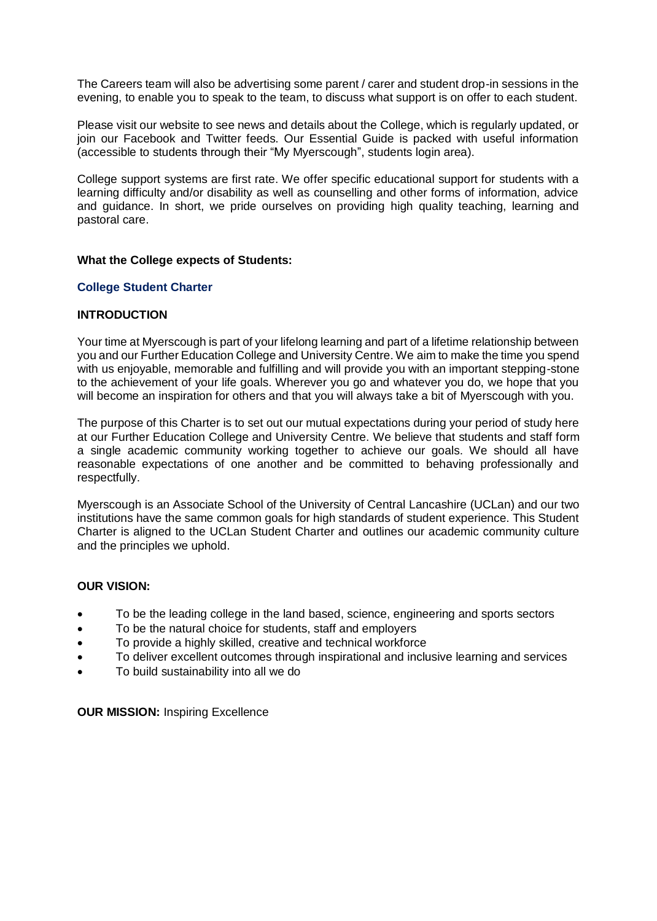The Careers team will also be advertising some parent / carer and student drop-in sessions in the evening, to enable you to speak to the team, to discuss what support is on offer to each student.

Please visit our website to see news and details about the College, which is regularly updated, or join our Facebook and Twitter feeds. Our Essential Guide is packed with useful information (accessible to students through their "My Myerscough", students login area).

College support systems are first rate. We offer specific educational support for students with a learning difficulty and/or disability as well as counselling and other forms of information, advice and guidance. In short, we pride ourselves on providing high quality teaching, learning and pastoral care.

### **What the College expects of Students:**

### **College Student Charter**

### **INTRODUCTION**

Your time at Myerscough is part of your lifelong learning and part of a lifetime relationship between you and our Further Education College and University Centre. We aim to make the time you spend with us enjoyable, memorable and fulfilling and will provide you with an important stepping-stone to the achievement of your life goals. Wherever you go and whatever you do, we hope that you will become an inspiration for others and that you will always take a bit of Myerscough with you.

The purpose of this Charter is to set out our mutual expectations during your period of study here at our Further Education College and University Centre. We believe that students and staff form a single academic community working together to achieve our goals. We should all have reasonable expectations of one another and be committed to behaving professionally and respectfully.

Myerscough is an Associate School of the University of Central Lancashire (UCLan) and our two institutions have the same common goals for high standards of student experience. This Student Charter is aligned to the UCLan Student Charter and outlines our academic community culture and the principles we uphold.

### **OUR VISION:**

- To be the leading college in the land based, science, engineering and sports sectors
- To be the natural choice for students, staff and employers
- To provide a highly skilled, creative and technical workforce
- To deliver excellent outcomes through inspirational and inclusive learning and services
- To build sustainability into all we do

**OUR MISSION: Inspiring Excellence**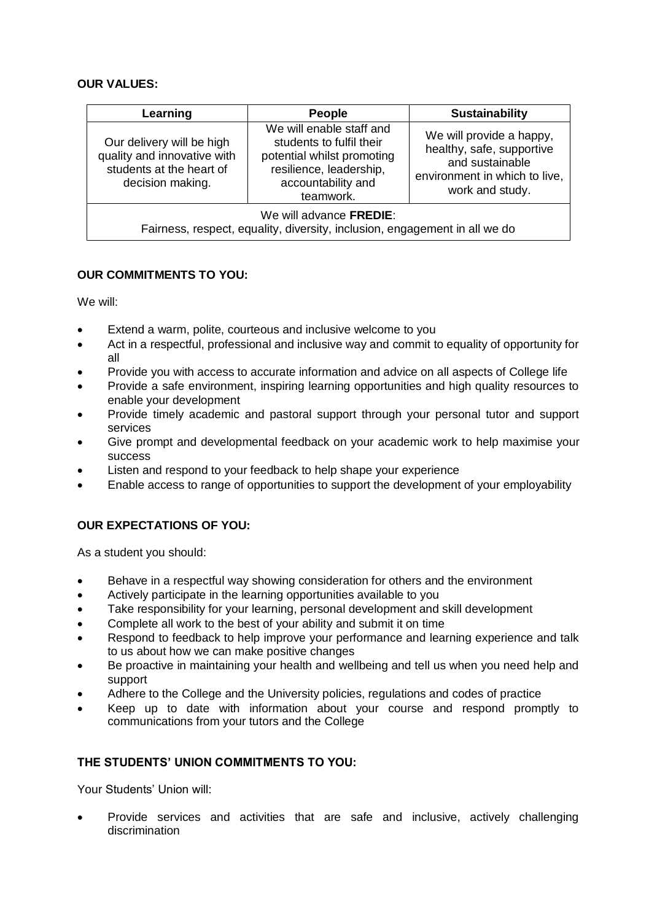## **OUR VALUES:**

| Learning                                                                                                 | <b>People</b>                                                                                                                                    | <b>Sustainability</b>                                                                                                        |
|----------------------------------------------------------------------------------------------------------|--------------------------------------------------------------------------------------------------------------------------------------------------|------------------------------------------------------------------------------------------------------------------------------|
| Our delivery will be high<br>quality and innovative with<br>students at the heart of<br>decision making. | We will enable staff and<br>students to fulfil their<br>potential whilst promoting<br>resilience, leadership,<br>accountability and<br>teamwork. | We will provide a happy,<br>healthy, safe, supportive<br>and sustainable<br>environment in which to live,<br>work and study. |
| We will advance FREDIE:<br>Fairness, respect, equality, diversity, inclusion, engagement in all we do    |                                                                                                                                                  |                                                                                                                              |

# **OUR COMMITMENTS TO YOU:**

We will:

- Extend a warm, polite, courteous and inclusive welcome to you
- Act in a respectful, professional and inclusive way and commit to equality of opportunity for all
- Provide you with access to accurate information and advice on all aspects of College life
- Provide a safe environment, inspiring learning opportunities and high quality resources to enable your development
- Provide timely academic and pastoral support through your personal tutor and support services
- Give prompt and developmental feedback on your academic work to help maximise your success
- Listen and respond to your feedback to help shape your experience
- Enable access to range of opportunities to support the development of your employability

## **OUR EXPECTATIONS OF YOU:**

As a student you should:

- Behave in a respectful way showing consideration for others and the environment
- Actively participate in the learning opportunities available to you
- Take responsibility for your learning, personal development and skill development
- Complete all work to the best of your ability and submit it on time
- Respond to feedback to help improve your performance and learning experience and talk to us about how we can make positive changes
- Be proactive in maintaining your health and wellbeing and tell us when you need help and support
- Adhere to the College and the University policies, regulations and codes of practice
- Keep up to date with information about your course and respond promptly to communications from your tutors and the College

## **THE STUDENTS' UNION COMMITMENTS TO YOU:**

Your Students' Union will:

• Provide services and activities that are safe and inclusive, actively challenging discrimination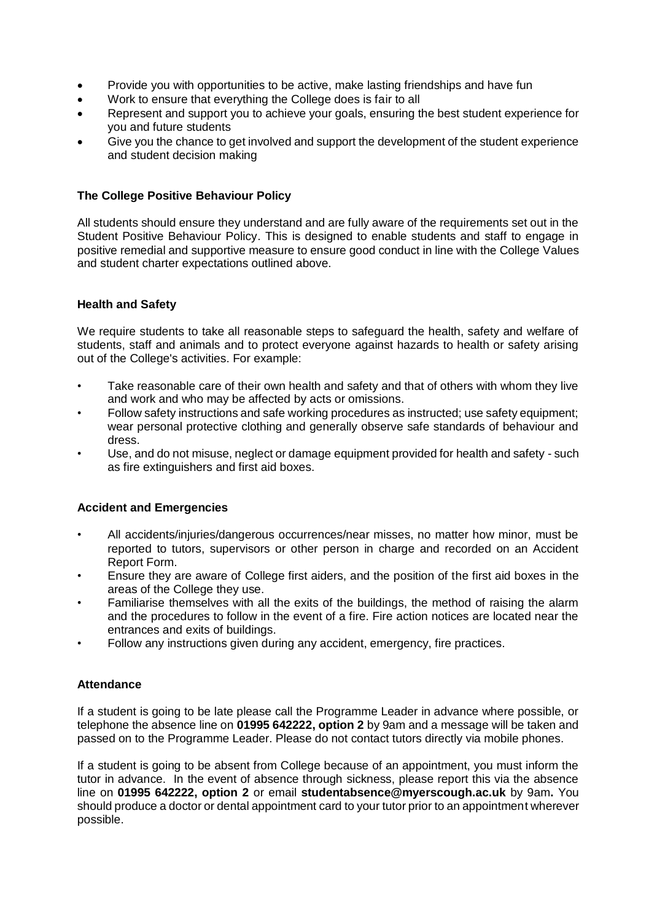- Provide you with opportunities to be active, make lasting friendships and have fun
- Work to ensure that everything the College does is fair to all
- Represent and support you to achieve your goals, ensuring the best student experience for you and future students
- Give you the chance to get involved and support the development of the student experience and student decision making

### **The College Positive Behaviour Policy**

All students should ensure they understand and are fully aware of the requirements set out in the Student Positive Behaviour Policy. This is designed to enable students and staff to engage in positive remedial and supportive measure to ensure good conduct in line with the College Values and student charter expectations outlined above.

### **Health and Safety**

We require students to take all reasonable steps to safeguard the health, safety and welfare of students, staff and animals and to protect everyone against hazards to health or safety arising out of the College's activities. For example:

- Take reasonable care of their own health and safety and that of others with whom they live and work and who may be affected by acts or omissions.
- Follow safety instructions and safe working procedures as instructed; use safety equipment; wear personal protective clothing and generally observe safe standards of behaviour and dress.
- Use, and do not misuse, neglect or damage equipment provided for health and safety such as fire extinguishers and first aid boxes.

### **Accident and Emergencies**

- All accidents/injuries/dangerous occurrences/near misses, no matter how minor, must be reported to tutors, supervisors or other person in charge and recorded on an Accident Report Form.
- Ensure they are aware of College first aiders, and the position of the first aid boxes in the areas of the College they use.
- Familiarise themselves with all the exits of the buildings, the method of raising the alarm and the procedures to follow in the event of a fire. Fire action notices are located near the entrances and exits of buildings.
- Follow any instructions given during any accident, emergency, fire practices.

### **Attendance**

If a student is going to be late please call the Programme Leader in advance where possible, or telephone the absence line on **01995 642222, option 2** by 9am and a message will be taken and passed on to the Programme Leader. Please do not contact tutors directly via mobile phones.

If a student is going to be absent from College because of an appointment, you must inform the tutor in advance. In the event of absence through sickness, please report this via the absence line on **01995 642222, option 2** or email **studentabsence@myerscough.ac.uk** by 9am**.** You should produce a doctor or dental appointment card to your tutor prior to an appointment wherever possible.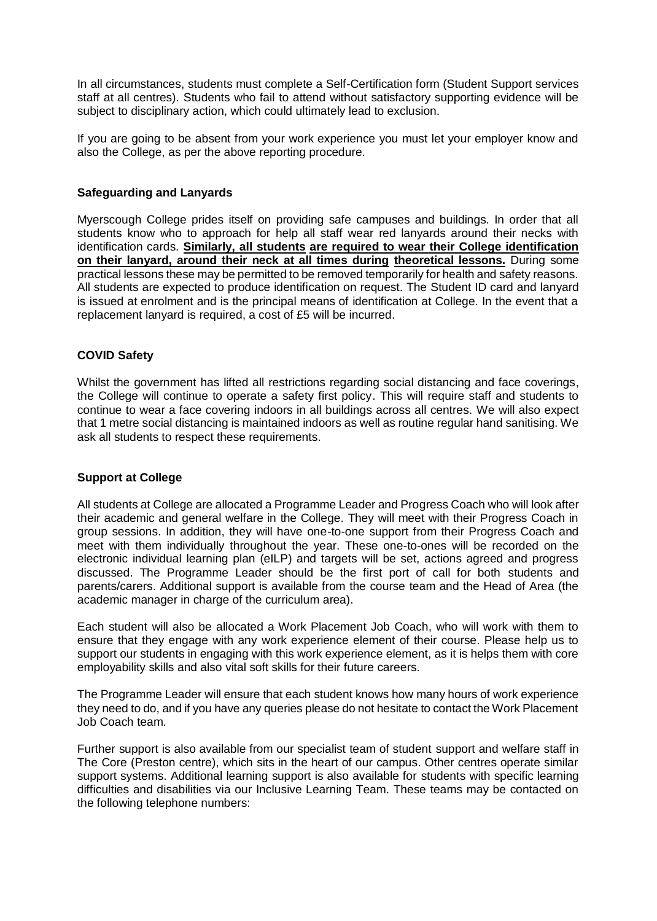In all circumstances, students must complete a Self-Certification form (Student Support services staff at all centres). Students who fail to attend without satisfactory supporting evidence will be subject to disciplinary action, which could ultimately lead to exclusion.

If you are going to be absent from your work experience you must let your employer know and also the College, as per the above reporting procedure.

### **Safeguarding and Lanyards**

Myerscough College prides itself on providing safe campuses and buildings. In order that all students know who to approach for help all staff wear red lanyards around their necks with identification cards. **Similarly, all students are required to wear their College identification on their lanyard, around their neck at all times during theoretical lessons.** During some practical lessons these may be permitted to be removed temporarily for health and safety reasons. All students are expected to produce identification on request. The Student ID card and lanyard is issued at enrolment and is the principal means of identification at College. In the event that a replacement lanyard is required, a cost of £5 will be incurred.

### **COVID Safety**

Whilst the government has lifted all restrictions regarding social distancing and face coverings, the College will continue to operate a safety first policy. This will require staff and students to continue to wear a face covering indoors in all buildings across all centres. We will also expect that 1 metre social distancing is maintained indoors as well as routine regular hand sanitising. We ask all students to respect these requirements.

## **Support at College**

All students at College are allocated a Programme Leader and Progress Coach who will look after their academic and general welfare in the College. They will meet with their Progress Coach in group sessions. In addition, they will have one-to-one support from their Progress Coach and meet with them individually throughout the year. These one-to-ones will be recorded on the electronic individual learning plan (eILP) and targets will be set, actions agreed and progress discussed. The Programme Leader should be the first port of call for both students and parents/carers. Additional support is available from the course team and the Head of Area (the academic manager in charge of the curriculum area).

Each student will also be allocated a Work Placement Job Coach, who will work with them to ensure that they engage with any work experience element of their course. Please help us to support our students in engaging with this work experience element, as it is helps them with core employability skills and also vital soft skills for their future careers.

The Programme Leader will ensure that each student knows how many hours of work experience they need to do, and if you have any queries please do not hesitate to contact the Work Placement Job Coach team.

Further support is also available from our specialist team of student support and welfare staff in The Core (Preston centre), which sits in the heart of our campus. Other centres operate similar support systems. Additional learning support is also available for students with specific learning difficulties and disabilities via our Inclusive Learning Team. These teams may be contacted on the following telephone numbers: